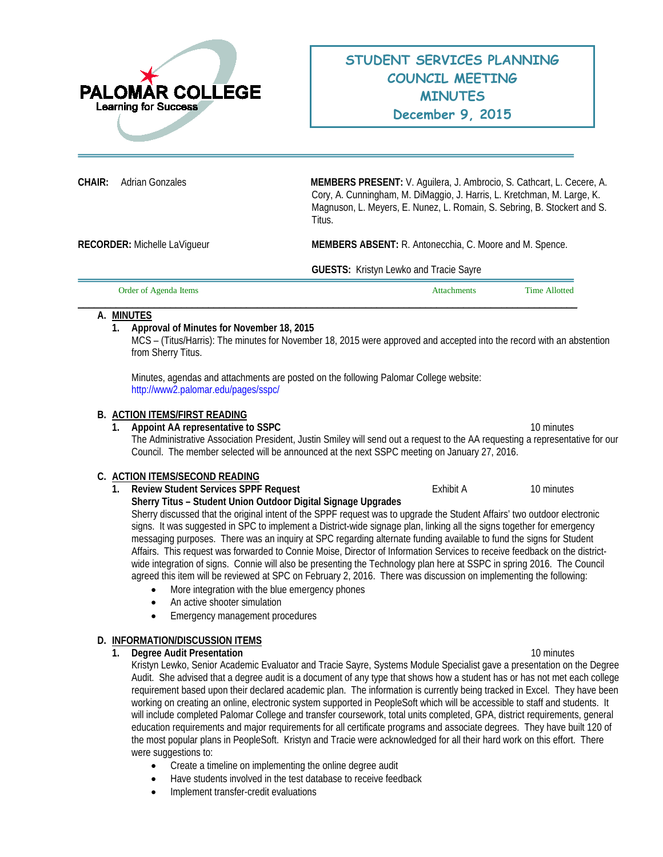

**CHAIR:** Adrian Gonzales **MEMBERS PRESENT:** V. Aguilera, J. Ambrocio, S. Cathcart, L. Cecere, A. Cory, A. Cunningham, M. DiMaggio, J. Harris, L. Kretchman, M. Large, K. Magnuson, L. Meyers, E. Nunez, L. Romain, S. Sebring, B. Stockert and S. Titus.

**RECORDER:** Michelle LaVigueur **MEMBERS ABSENT:** R. Antonecchia, C. Moore and M. Spence.

**GUESTS:** Kristyn Lewko and Tracie Sayre

| Order of Agenda Items | tachments | Time Allotted |
|-----------------------|-----------|---------------|
|                       |           |               |

# **A. MINUTES**

# **1. Approval of Minutes for November 18, 2015**

MCS – (Titus/Harris): The minutes for November 18, 2015 were approved and accepted into the record with an abstention from Sherry Titus.

Minutes, agendas and attachments are posted on the following Palomar College website: <http://www2.palomar.edu/pages/sspc/>

### **B. ACTION ITEMS/FIRST READING**

**1.** Appoint AA representative to SSPC 10 minutes 10 minutes The Administrative Association President, Justin Smiley will send out a request to the AA requesting a representative for our Council. The member selected will be announced at the next SSPC meeting on January 27, 2016.

# **C. ACTION ITEMS/SECOND READING**

- **1. Review Student Services SPPF Request 10 minutes** Exhibit A 10 minutes
	- **Sherry Titus – Student Union Outdoor Digital Signage Upgrades**

Sherry discussed that the original intent of the SPPF request was to upgrade the Student Affairs' two outdoor electronic signs. It was suggested in SPC to implement a District-wide signage plan, linking all the signs together for emergency messaging purposes. There was an inquiry at SPC regarding alternate funding available to fund the signs for Student Affairs. This request was forwarded to Connie Moise, Director of Information Services to receive feedback on the districtwide integration of signs. Connie will also be presenting the Technology plan here at SSPC in spring 2016. The Council agreed this item will be reviewed at SPC on February 2, 2016. There was discussion on implementing the following:

- More integration with the blue emergency phones
- An active shooter simulation
- Emergency management procedures

# **D. INFORMATION/DISCUSSION ITEMS**

**1. Degree Audit Presentation** 10 minutes

Kristyn Lewko, Senior Academic Evaluator and Tracie Sayre, Systems Module Specialist gave a presentation on the Degree Audit. She advised that a degree audit is a document of any type that shows how a student has or has not met each college requirement based upon their declared academic plan. The information is currently being tracked in Excel. They have been working on creating an online, electronic system supported in PeopleSoft which will be accessible to staff and students. It will include completed Palomar College and transfer coursework, total units completed, GPA, district requirements, general education requirements and major requirements for all certificate programs and associate degrees. They have built 120 of the most popular plans in PeopleSoft. Kristyn and Tracie were acknowledged for all their hard work on this effort. There were suggestions to:

- Create a timeline on implementing the online degree audit
- Have students involved in the test database to receive feedback
- Implement transfer-credit evaluations